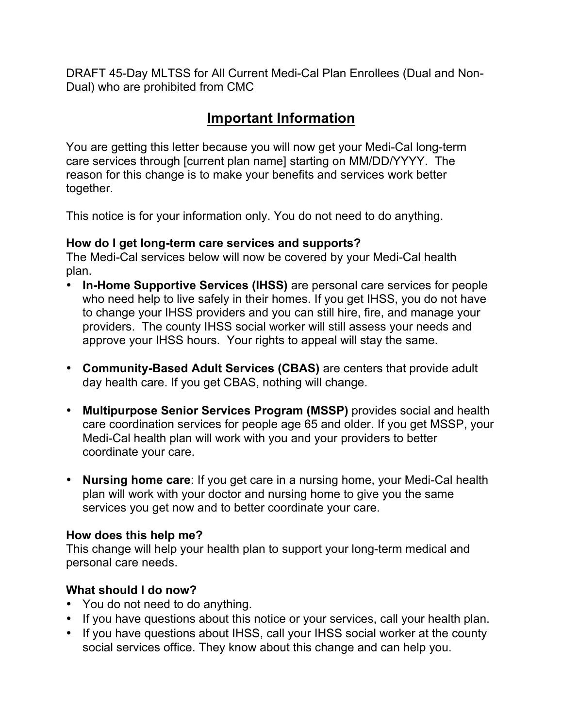DRAFT 45-Day MLTSS for All Current Medi-Cal Plan Enrollees (Dual and Non-Dual) who are prohibited from CMC

# **Important Information**

You are getting this letter because you will now get your Medi-Cal long-term care services through [current plan name] starting on MM/DD/YYYY. The reason for this change is to make your benefits and services work better together.

This notice is for your information only. You do not need to do anything.

#### **How do I get long-term care services and supports?**

The Medi-Cal services below will now be covered by your Medi-Cal health plan.

- **In-Home Supportive Services (IHSS)** are personal care services for people who need help to live safely in their homes. If you get IHSS, you do not have to change your IHSS providers and you can still hire, fire, and manage your providers. The county IHSS social worker will still assess your needs and approve your IHSS hours. Your rights to appeal will stay the same.
- **Community-Based Adult Services (CBAS)** are centers that provide adult day health care. If you get CBAS, nothing will change.
- **Multipurpose Senior Services Program (MSSP)** provides social and health care coordination services for people age 65 and older. If you get MSSP, your Medi-Cal health plan will work with you and your providers to better coordinate your care.
- **Nursing home care**: If you get care in a nursing home, your Medi-Cal health plan will work with your doctor and nursing home to give you the same services you get now and to better coordinate your care.

#### **How does this help me?**

This change will help your health plan to support your long-term medical and personal care needs.

### **What should I do now?**

- You do not need to do anything.
- If you have questions about this notice or your services, call your health plan.
- If you have questions about IHSS, call your IHSS social worker at the county social services office. They know about this change and can help you.